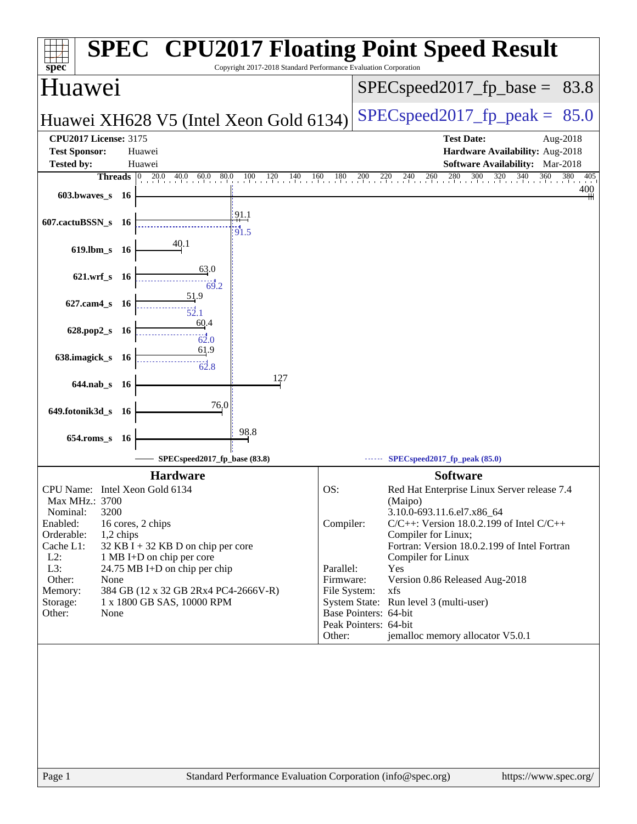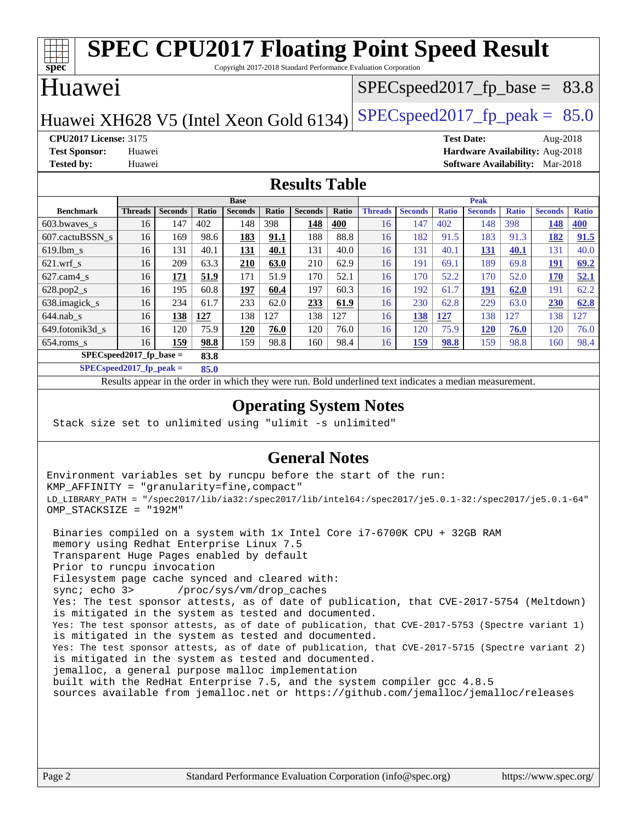### **[spec](http://www.spec.org/) [SPEC CPU2017 Floating Point Speed Result](http://www.spec.org/auto/cpu2017/Docs/result-fields.html#SPECCPU2017FloatingPointSpeedResult)** Copyright 2017-2018 Standard Performance Evaluation Corporation Huawei Huawei XH628 V5 (Intel Xeon Gold 6134) SPECspeed 2017 fp peak =  $85.0$  $SPECspeed2017<sub>fp</sub> base = 83.8$ **[CPU2017 License:](http://www.spec.org/auto/cpu2017/Docs/result-fields.html#CPU2017License)** 3175 **[Test Date:](http://www.spec.org/auto/cpu2017/Docs/result-fields.html#TestDate)** Aug-2018 **[Test Sponsor:](http://www.spec.org/auto/cpu2017/Docs/result-fields.html#TestSponsor)** Huawei **[Hardware Availability:](http://www.spec.org/auto/cpu2017/Docs/result-fields.html#HardwareAvailability)** Aug-2018 **[Tested by:](http://www.spec.org/auto/cpu2017/Docs/result-fields.html#Testedby)** Huawei **[Software Availability:](http://www.spec.org/auto/cpu2017/Docs/result-fields.html#SoftwareAvailability)** Mar-2018 **[Results Table](http://www.spec.org/auto/cpu2017/Docs/result-fields.html#ResultsTable) [Benchmark](http://www.spec.org/auto/cpu2017/Docs/result-fields.html#Benchmark) [Threads](http://www.spec.org/auto/cpu2017/Docs/result-fields.html#Threads) [Seconds](http://www.spec.org/auto/cpu2017/Docs/result-fields.html#Seconds) [Ratio](http://www.spec.org/auto/cpu2017/Docs/result-fields.html#Ratio) [Seconds](http://www.spec.org/auto/cpu2017/Docs/result-fields.html#Seconds) [Ratio](http://www.spec.org/auto/cpu2017/Docs/result-fields.html#Ratio) [Seconds](http://www.spec.org/auto/cpu2017/Docs/result-fields.html#Seconds) [Ratio](http://www.spec.org/auto/cpu2017/Docs/result-fields.html#Ratio) Base [Threads](http://www.spec.org/auto/cpu2017/Docs/result-fields.html#Threads) [Seconds](http://www.spec.org/auto/cpu2017/Docs/result-fields.html#Seconds) [Ratio](http://www.spec.org/auto/cpu2017/Docs/result-fields.html#Ratio) [Seconds](http://www.spec.org/auto/cpu2017/Docs/result-fields.html#Seconds) [Ratio](http://www.spec.org/auto/cpu2017/Docs/result-fields.html#Ratio) [Seconds](http://www.spec.org/auto/cpu2017/Docs/result-fields.html#Seconds) [Ratio](http://www.spec.org/auto/cpu2017/Docs/result-fields.html#Ratio) Peak** [603.bwaves\\_s](http://www.spec.org/auto/cpu2017/Docs/benchmarks/603.bwaves_s.html) 16 147 402 148 398 **[148](http://www.spec.org/auto/cpu2017/Docs/result-fields.html#Median) [400](http://www.spec.org/auto/cpu2017/Docs/result-fields.html#Median)** 16 147 402 148 398 **[148](http://www.spec.org/auto/cpu2017/Docs/result-fields.html#Median) [400](http://www.spec.org/auto/cpu2017/Docs/result-fields.html#Median)** [607.cactuBSSN\\_s](http://www.spec.org/auto/cpu2017/Docs/benchmarks/607.cactuBSSN_s.html) 16 169 98.6 **[183](http://www.spec.org/auto/cpu2017/Docs/result-fields.html#Median) [91.1](http://www.spec.org/auto/cpu2017/Docs/result-fields.html#Median)** 188 88.8 16 182 91.5 183 91.3 **[182](http://www.spec.org/auto/cpu2017/Docs/result-fields.html#Median) [91.5](http://www.spec.org/auto/cpu2017/Docs/result-fields.html#Median)** [619.lbm\\_s](http://www.spec.org/auto/cpu2017/Docs/benchmarks/619.lbm_s.html) 16 131 40.1 **[131](http://www.spec.org/auto/cpu2017/Docs/result-fields.html#Median) [40.1](http://www.spec.org/auto/cpu2017/Docs/result-fields.html#Median)** 131 40.0 16 131 40.1 **[131](http://www.spec.org/auto/cpu2017/Docs/result-fields.html#Median) [40.1](http://www.spec.org/auto/cpu2017/Docs/result-fields.html#Median)** 131 40.0 [621.wrf\\_s](http://www.spec.org/auto/cpu2017/Docs/benchmarks/621.wrf_s.html) 16 209 63.3 **[210](http://www.spec.org/auto/cpu2017/Docs/result-fields.html#Median) [63.0](http://www.spec.org/auto/cpu2017/Docs/result-fields.html#Median)** 210 62.9 16 191 69.1 189 69.8 **[191](http://www.spec.org/auto/cpu2017/Docs/result-fields.html#Median) [69.2](http://www.spec.org/auto/cpu2017/Docs/result-fields.html#Median)** [627.cam4\\_s](http://www.spec.org/auto/cpu2017/Docs/benchmarks/627.cam4_s.html) 16 **[171](http://www.spec.org/auto/cpu2017/Docs/result-fields.html#Median) [51.9](http://www.spec.org/auto/cpu2017/Docs/result-fields.html#Median)** 171 51.9 170 52.1 16 170 52.2 170 52.0 **[170](http://www.spec.org/auto/cpu2017/Docs/result-fields.html#Median) [52.1](http://www.spec.org/auto/cpu2017/Docs/result-fields.html#Median)** [628.pop2\\_s](http://www.spec.org/auto/cpu2017/Docs/benchmarks/628.pop2_s.html) 16 195 60.8 **[197](http://www.spec.org/auto/cpu2017/Docs/result-fields.html#Median) [60.4](http://www.spec.org/auto/cpu2017/Docs/result-fields.html#Median)** 197 60.3 16 192 61.7 **[191](http://www.spec.org/auto/cpu2017/Docs/result-fields.html#Median) [62.0](http://www.spec.org/auto/cpu2017/Docs/result-fields.html#Median)** 191 62.2 [638.imagick\\_s](http://www.spec.org/auto/cpu2017/Docs/benchmarks/638.imagick_s.html) 16 234 61.7 233 62.0 **[233](http://www.spec.org/auto/cpu2017/Docs/result-fields.html#Median) [61.9](http://www.spec.org/auto/cpu2017/Docs/result-fields.html#Median)** 16 230 62.8 229 63.0 **[230](http://www.spec.org/auto/cpu2017/Docs/result-fields.html#Median) [62.8](http://www.spec.org/auto/cpu2017/Docs/result-fields.html#Median)** [644.nab\\_s](http://www.spec.org/auto/cpu2017/Docs/benchmarks/644.nab_s.html) 16 **[138](http://www.spec.org/auto/cpu2017/Docs/result-fields.html#Median) [127](http://www.spec.org/auto/cpu2017/Docs/result-fields.html#Median)** 138 127 138 127 16 **[138](http://www.spec.org/auto/cpu2017/Docs/result-fields.html#Median) [127](http://www.spec.org/auto/cpu2017/Docs/result-fields.html#Median)** 138 127 138 127 [649.fotonik3d\\_s](http://www.spec.org/auto/cpu2017/Docs/benchmarks/649.fotonik3d_s.html) 16 120 75.9 **[120](http://www.spec.org/auto/cpu2017/Docs/result-fields.html#Median) [76.0](http://www.spec.org/auto/cpu2017/Docs/result-fields.html#Median)** 120 76.0 16 120 75.9 **[120](http://www.spec.org/auto/cpu2017/Docs/result-fields.html#Median) [76.0](http://www.spec.org/auto/cpu2017/Docs/result-fields.html#Median)** 120 76.0 [654.roms\\_s](http://www.spec.org/auto/cpu2017/Docs/benchmarks/654.roms_s.html) 16 **[159](http://www.spec.org/auto/cpu2017/Docs/result-fields.html#Median) [98.8](http://www.spec.org/auto/cpu2017/Docs/result-fields.html#Median)** 159 98.8 160 98.4 16 **[159](http://www.spec.org/auto/cpu2017/Docs/result-fields.html#Median) [98.8](http://www.spec.org/auto/cpu2017/Docs/result-fields.html#Median)** 159 98.8 160 98.4 **[SPECspeed2017\\_fp\\_base =](http://www.spec.org/auto/cpu2017/Docs/result-fields.html#SPECspeed2017fpbase) 83.8 [SPECspeed2017\\_fp\\_peak =](http://www.spec.org/auto/cpu2017/Docs/result-fields.html#SPECspeed2017fppeak) 85.0**

Results appear in the [order in which they were run.](http://www.spec.org/auto/cpu2017/Docs/result-fields.html#RunOrder) Bold underlined text [indicates a median measurement](http://www.spec.org/auto/cpu2017/Docs/result-fields.html#Median).

## **[Operating System Notes](http://www.spec.org/auto/cpu2017/Docs/result-fields.html#OperatingSystemNotes)**

Stack size set to unlimited using "ulimit -s unlimited"

### **[General Notes](http://www.spec.org/auto/cpu2017/Docs/result-fields.html#GeneralNotes)**

Environment variables set by runcpu before the start of the run: KMP\_AFFINITY = "granularity=fine,compact" LD\_LIBRARY\_PATH = "/spec2017/lib/ia32:/spec2017/lib/intel64:/spec2017/je5.0.1-32:/spec2017/je5.0.1-64" OMP\_STACKSIZE = "192M"

 Binaries compiled on a system with 1x Intel Core i7-6700K CPU + 32GB RAM memory using Redhat Enterprise Linux 7.5 Transparent Huge Pages enabled by default Prior to runcpu invocation Filesystem page cache synced and cleared with: sync; echo 3> /proc/sys/vm/drop\_caches Yes: The test sponsor attests, as of date of publication, that CVE-2017-5754 (Meltdown) is mitigated in the system as tested and documented. Yes: The test sponsor attests, as of date of publication, that CVE-2017-5753 (Spectre variant 1) is mitigated in the system as tested and documented. Yes: The test sponsor attests, as of date of publication, that CVE-2017-5715 (Spectre variant 2) is mitigated in the system as tested and documented. jemalloc, a general purpose malloc implementation built with the RedHat Enterprise 7.5, and the system compiler gcc 4.8.5 sources available from jemalloc.net or <https://github.com/jemalloc/jemalloc/releases>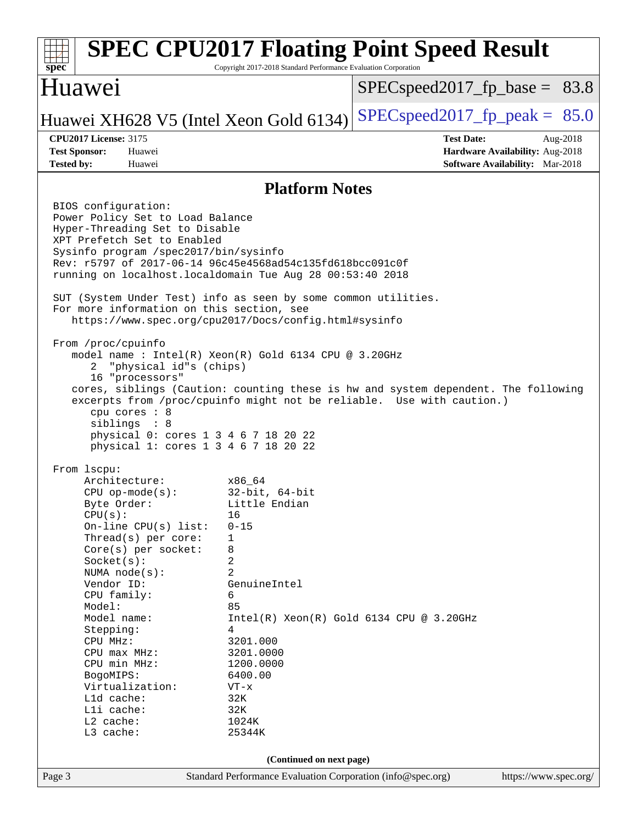### Page 3 Standard Performance Evaluation Corporation [\(info@spec.org\)](mailto:info@spec.org) <https://www.spec.org/> **[spec](http://www.spec.org/) [SPEC CPU2017 Floating Point Speed Result](http://www.spec.org/auto/cpu2017/Docs/result-fields.html#SPECCPU2017FloatingPointSpeedResult)** Copyright 2017-2018 Standard Performance Evaluation Corporation Huawei Huawei XH628 V5 (Intel Xeon Gold 6134) SPECspeed 2017 fp peak =  $85.0$  $SPECspeed2017<sub>fp</sub> base = 83.8$ **[CPU2017 License:](http://www.spec.org/auto/cpu2017/Docs/result-fields.html#CPU2017License)** 3175 **[Test Date:](http://www.spec.org/auto/cpu2017/Docs/result-fields.html#TestDate)** Aug-2018 **[Test Sponsor:](http://www.spec.org/auto/cpu2017/Docs/result-fields.html#TestSponsor)** Huawei **[Hardware Availability:](http://www.spec.org/auto/cpu2017/Docs/result-fields.html#HardwareAvailability)** Aug-2018 **[Tested by:](http://www.spec.org/auto/cpu2017/Docs/result-fields.html#Testedby)** Huawei **[Software Availability:](http://www.spec.org/auto/cpu2017/Docs/result-fields.html#SoftwareAvailability)** Mar-2018 **[Platform Notes](http://www.spec.org/auto/cpu2017/Docs/result-fields.html#PlatformNotes)** BIOS configuration: Power Policy Set to Load Balance Hyper-Threading Set to Disable XPT Prefetch Set to Enabled Sysinfo program /spec2017/bin/sysinfo Rev: r5797 of 2017-06-14 96c45e4568ad54c135fd618bcc091c0f running on localhost.localdomain Tue Aug 28 00:53:40 2018 SUT (System Under Test) info as seen by some common utilities. For more information on this section, see <https://www.spec.org/cpu2017/Docs/config.html#sysinfo> From /proc/cpuinfo model name : Intel(R) Xeon(R) Gold 6134 CPU @ 3.20GHz 2 "physical id"s (chips) 16 "processors" cores, siblings (Caution: counting these is hw and system dependent. The following excerpts from /proc/cpuinfo might not be reliable. Use with caution.) cpu cores : 8 siblings : 8 physical 0: cores 1 3 4 6 7 18 20 22 physical 1: cores 1 3 4 6 7 18 20 22 From lscpu: Architecture: x86\_64 CPU op-mode(s): 32-bit, 64-bit Byte Order: Little Endian  $CPU(s):$  16 On-line CPU(s) list: 0-15 Thread(s) per core: 1 Core(s) per socket: 8 Socket(s): 2 NUMA node(s): 2 Vendor ID: GenuineIntel CPU family: 6 Model: 85 Model name:  $Intel(R)$  Xeon(R) Gold 6134 CPU @ 3.20GHz Stepping: 4 CPU MHz: 3201.000 CPU max MHz: 3201.0000 CPU min MHz: 1200.0000 BogoMIPS: 6400.00 Virtualization: VT-x L1d cache: 32K<br>
L1i cache: 32K  $L1i$  cache: L2 cache: 1024K L3 cache: 25344K **(Continued on next page)**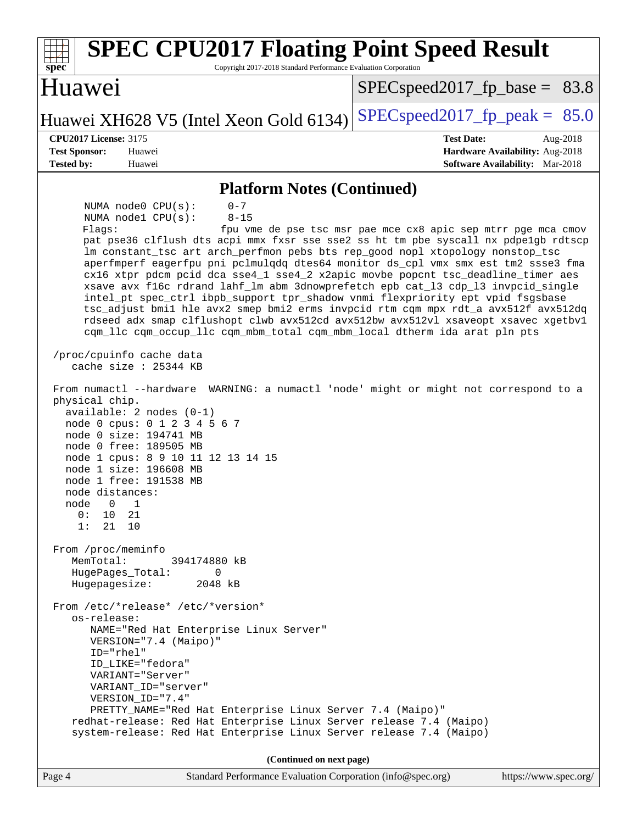| <b>SPEC CPU2017 Floating Point Speed Result</b><br>Copyright 2017-2018 Standard Performance Evaluation Corporation<br>spec <sup>®</sup>                                                                                                                                                                                                                                                                                                                                                                                                                                                                                                                                                                                                                                                                                                                                                                          |                                                                                                     |  |  |  |  |  |
|------------------------------------------------------------------------------------------------------------------------------------------------------------------------------------------------------------------------------------------------------------------------------------------------------------------------------------------------------------------------------------------------------------------------------------------------------------------------------------------------------------------------------------------------------------------------------------------------------------------------------------------------------------------------------------------------------------------------------------------------------------------------------------------------------------------------------------------------------------------------------------------------------------------|-----------------------------------------------------------------------------------------------------|--|--|--|--|--|
| Huawei                                                                                                                                                                                                                                                                                                                                                                                                                                                                                                                                                                                                                                                                                                                                                                                                                                                                                                           | $SPEC speed2017_f p\_base = 83.8$                                                                   |  |  |  |  |  |
| Huawei XH628 V5 (Intel Xeon Gold 6134)                                                                                                                                                                                                                                                                                                                                                                                                                                                                                                                                                                                                                                                                                                                                                                                                                                                                           | $SPEC speed2017_fp\_peak = 85.0$                                                                    |  |  |  |  |  |
| <b>CPU2017 License: 3175</b><br><b>Test Sponsor:</b><br>Huawei<br><b>Tested by:</b><br>Huawei                                                                                                                                                                                                                                                                                                                                                                                                                                                                                                                                                                                                                                                                                                                                                                                                                    | <b>Test Date:</b><br>Aug-2018<br>Hardware Availability: Aug-2018<br>Software Availability: Mar-2018 |  |  |  |  |  |
| <b>Platform Notes (Continued)</b>                                                                                                                                                                                                                                                                                                                                                                                                                                                                                                                                                                                                                                                                                                                                                                                                                                                                                |                                                                                                     |  |  |  |  |  |
| NUMA node0 CPU(s):<br>$0 - 7$<br>NUMA nodel CPU(s):<br>$8 - 15$<br>Flagg:<br>pat pse36 clflush dts acpi mmx fxsr sse sse2 ss ht tm pbe syscall nx pdpelgb rdtscp<br>lm constant_tsc art arch_perfmon pebs bts rep_good nopl xtopology nonstop_tsc<br>aperfmperf eagerfpu pni pclmulqdq dtes64 monitor ds_cpl vmx smx est tm2 ssse3 fma<br>cx16 xtpr pdcm pcid dca sse4_1 sse4_2 x2apic movbe popcnt tsc_deadline_timer aes<br>xsave avx f16c rdrand lahf_lm abm 3dnowprefetch epb cat_13 cdp_13 invpcid_single<br>intel_pt spec_ctrl ibpb_support tpr_shadow vnmi flexpriority ept vpid fsgsbase<br>tsc_adjust bmil hle avx2 smep bmi2 erms invpcid rtm cqm mpx rdt_a avx512f avx512dq<br>rdseed adx smap clflushopt clwb avx512cd avx512bw avx512vl xsaveopt xsavec xgetbvl<br>cqm_llc cqm_occup_llc cqm_mbm_total cqm_mbm_local dtherm ida arat pln pts<br>/proc/cpuinfo cache data<br>cache size $: 25344$ KB | fpu vme de pse tsc msr pae mce cx8 apic sep mtrr pge mca cmov                                       |  |  |  |  |  |
| From numactl --hardware WARNING: a numactl 'node' might or might not correspond to a<br>physical chip.<br>$available: 2 nodes (0-1)$<br>node 0 cpus: 0 1 2 3 4 5 6 7<br>node 0 size: 194741 MB<br>node 0 free: 189505 MB<br>node 1 cpus: 8 9 10 11 12 13 14 15<br>node 1 size: 196608 MB<br>node 1 free: 191538 MB<br>node distances:<br>node 0 1<br>0 :<br>10<br>21<br>21<br>10<br>1:                                                                                                                                                                                                                                                                                                                                                                                                                                                                                                                           |                                                                                                     |  |  |  |  |  |
| From /proc/meminfo<br>MemTotal:<br>394174880 kB<br>HugePages_Total:<br>0<br>2048 kB<br>Hugepagesize:                                                                                                                                                                                                                                                                                                                                                                                                                                                                                                                                                                                                                                                                                                                                                                                                             |                                                                                                     |  |  |  |  |  |
| From /etc/*release* /etc/*version*<br>os-release:<br>NAME="Red Hat Enterprise Linux Server"<br>VERSION="7.4 (Maipo)"<br>ID="rhel"<br>ID_LIKE="fedora"<br>VARIANT="Server"<br>VARIANT_ID="server"<br>VERSION_ID="7.4"<br>PRETTY_NAME="Red Hat Enterprise Linux Server 7.4 (Maipo)"<br>redhat-release: Red Hat Enterprise Linux Server release 7.4 (Maipo)<br>system-release: Red Hat Enterprise Linux Server release 7.4 (Maipo)                                                                                                                                                                                                                                                                                                                                                                                                                                                                                  |                                                                                                     |  |  |  |  |  |
| (Continued on next page)                                                                                                                                                                                                                                                                                                                                                                                                                                                                                                                                                                                                                                                                                                                                                                                                                                                                                         |                                                                                                     |  |  |  |  |  |
| Page 4<br>Standard Performance Evaluation Corporation (info@spec.org)                                                                                                                                                                                                                                                                                                                                                                                                                                                                                                                                                                                                                                                                                                                                                                                                                                            | https://www.spec.org/                                                                               |  |  |  |  |  |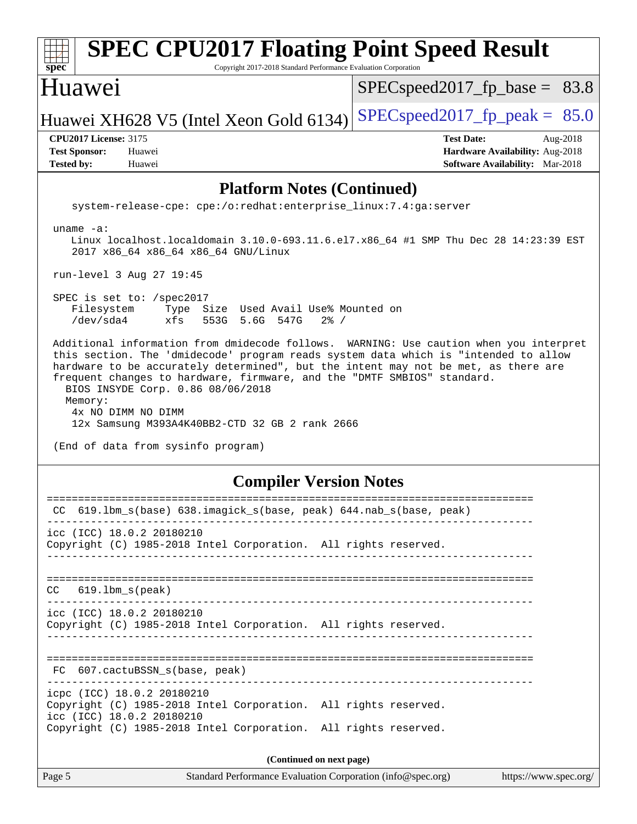| <b>SPEC CPU2017 Floating Point Speed Result</b><br>spec <sup>®</sup><br>Copyright 2017-2018 Standard Performance Evaluation Corporation                                                                                                                                                                                                                                                                                                                                                                      |                                                                                                     |  |  |  |  |  |
|--------------------------------------------------------------------------------------------------------------------------------------------------------------------------------------------------------------------------------------------------------------------------------------------------------------------------------------------------------------------------------------------------------------------------------------------------------------------------------------------------------------|-----------------------------------------------------------------------------------------------------|--|--|--|--|--|
| Huawei                                                                                                                                                                                                                                                                                                                                                                                                                                                                                                       | $SPEC speed2017_f p\_base = 83.8$                                                                   |  |  |  |  |  |
| Huawei XH628 V5 (Intel Xeon Gold 6134)                                                                                                                                                                                                                                                                                                                                                                                                                                                                       | $SPEC speed2017fp peak = 85.0$                                                                      |  |  |  |  |  |
| <b>CPU2017 License: 3175</b><br><b>Test Sponsor:</b><br>Huawei<br><b>Tested by:</b><br>Huawei                                                                                                                                                                                                                                                                                                                                                                                                                | <b>Test Date:</b><br>Aug-2018<br>Hardware Availability: Aug-2018<br>Software Availability: Mar-2018 |  |  |  |  |  |
| <b>Platform Notes (Continued)</b>                                                                                                                                                                                                                                                                                                                                                                                                                                                                            |                                                                                                     |  |  |  |  |  |
| system-release-cpe: cpe:/o:redhat:enterprise_linux:7.4:ga:server                                                                                                                                                                                                                                                                                                                                                                                                                                             |                                                                                                     |  |  |  |  |  |
| uname $-a$ :<br>Linux localhost.localdomain 3.10.0-693.11.6.el7.x86_64 #1 SMP Thu Dec 28 14:23:39 EST<br>2017 x86_64 x86_64 x86_64 GNU/Linux                                                                                                                                                                                                                                                                                                                                                                 |                                                                                                     |  |  |  |  |  |
| run-level 3 Aug 27 19:45                                                                                                                                                                                                                                                                                                                                                                                                                                                                                     |                                                                                                     |  |  |  |  |  |
| SPEC is set to: /spec2017<br>Filesystem<br>Type Size Used Avail Use% Mounted on<br>/dev/sda4<br>xfs<br>553G 5.6G 547G<br>$2\frac{6}{9}$ /                                                                                                                                                                                                                                                                                                                                                                    |                                                                                                     |  |  |  |  |  |
| Additional information from dmidecode follows. WARNING: Use caution when you interpret<br>this section. The 'dmidecode' program reads system data which is "intended to allow<br>hardware to be accurately determined", but the intent may not be met, as there are<br>frequent changes to hardware, firmware, and the "DMTF SMBIOS" standard.<br>BIOS INSYDE Corp. 0.86 08/06/2018<br>Memory:<br>4x NO DIMM NO DIMM<br>12x Samsung M393A4K40BB2-CTD 32 GB 2 rank 2666<br>(End of data from sysinfo program) |                                                                                                     |  |  |  |  |  |
| <b>Compiler Version Notes</b>                                                                                                                                                                                                                                                                                                                                                                                                                                                                                |                                                                                                     |  |  |  |  |  |
| ========<br>CC 619.1bm_s(base) 638.imagick_s(base, peak) 644.nab_s(base, peak)                                                                                                                                                                                                                                                                                                                                                                                                                               |                                                                                                     |  |  |  |  |  |
| icc (ICC) 18.0.2 20180210<br>Copyright (C) 1985-2018 Intel Corporation. All rights reserved.                                                                                                                                                                                                                                                                                                                                                                                                                 |                                                                                                     |  |  |  |  |  |
| $619.1$ bm_s(peak)<br>CC.                                                                                                                                                                                                                                                                                                                                                                                                                                                                                    |                                                                                                     |  |  |  |  |  |
| icc (ICC) 18.0.2 20180210<br>Copyright (C) 1985-2018 Intel Corporation. All rights reserved.                                                                                                                                                                                                                                                                                                                                                                                                                 |                                                                                                     |  |  |  |  |  |
| FC 607.cactuBSSN_s(base, peak)                                                                                                                                                                                                                                                                                                                                                                                                                                                                               |                                                                                                     |  |  |  |  |  |
| icpc (ICC) 18.0.2 20180210<br>Copyright (C) 1985-2018 Intel Corporation. All rights reserved.<br>icc (ICC) 18.0.2 20180210<br>Copyright (C) 1985-2018 Intel Corporation. All rights reserved.                                                                                                                                                                                                                                                                                                                |                                                                                                     |  |  |  |  |  |
|                                                                                                                                                                                                                                                                                                                                                                                                                                                                                                              |                                                                                                     |  |  |  |  |  |
| (Continued on next page)                                                                                                                                                                                                                                                                                                                                                                                                                                                                                     |                                                                                                     |  |  |  |  |  |
| Page 5<br>Standard Performance Evaluation Corporation (info@spec.org)                                                                                                                                                                                                                                                                                                                                                                                                                                        | https://www.spec.org/                                                                               |  |  |  |  |  |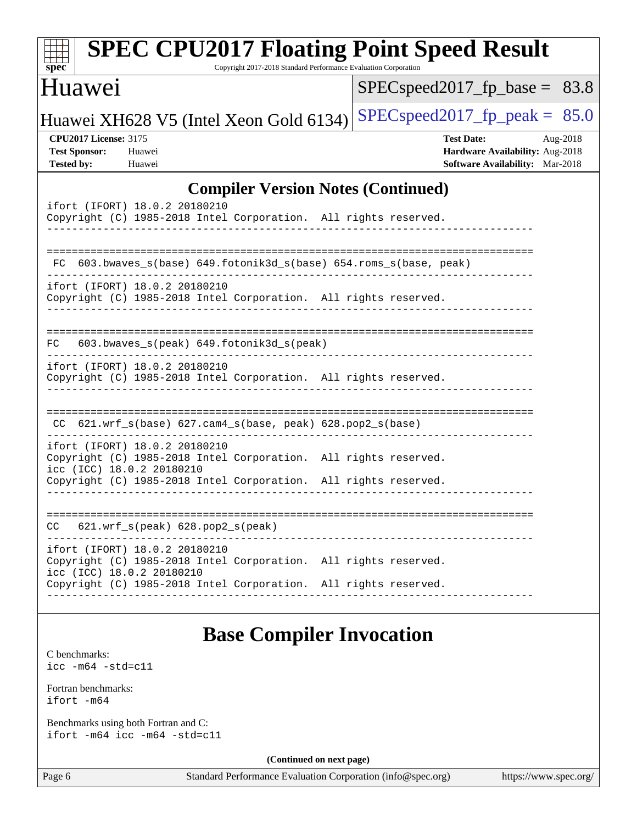| $spec^*$                                                                  | <b>SPEC CPU2017 Floating Point Speed Result</b>                                                                                                                                                  |  | Copyright 2017-2018 Standard Performance Evaluation Corporation |                                                                                                |                       |
|---------------------------------------------------------------------------|--------------------------------------------------------------------------------------------------------------------------------------------------------------------------------------------------|--|-----------------------------------------------------------------|------------------------------------------------------------------------------------------------|-----------------------|
| Huawei                                                                    |                                                                                                                                                                                                  |  |                                                                 | $SPEC speed2017_fp\_base =$                                                                    | 83.8                  |
|                                                                           | Huawei XH628 V5 (Intel Xeon Gold 6134)                                                                                                                                                           |  |                                                                 | $SPEC speed2017fp peak = 85.0$                                                                 |                       |
| <b>CPU2017 License: 3175</b><br><b>Test Sponsor:</b><br><b>Tested by:</b> | Huawei<br>Huawei                                                                                                                                                                                 |  |                                                                 | <b>Test Date:</b><br>Hardware Availability: Aug-2018<br><b>Software Availability:</b> Mar-2018 | Aug-2018              |
| <b>Compiler Version Notes (Continued)</b>                                 |                                                                                                                                                                                                  |  |                                                                 |                                                                                                |                       |
|                                                                           | ifort (IFORT) 18.0.2 20180210<br>Copyright (C) 1985-2018 Intel Corporation. All rights reserved.                                                                                                 |  |                                                                 |                                                                                                |                       |
| FC.                                                                       | 603.bwaves_s(base) 649.fotonik3d_s(base) 654.roms_s(base, peak)                                                                                                                                  |  |                                                                 |                                                                                                |                       |
|                                                                           | ifort (IFORT) 18.0.2 20180210<br>Copyright (C) 1985-2018 Intel Corporation. All rights reserved.                                                                                                 |  |                                                                 |                                                                                                |                       |
| FC.                                                                       | 603.bwaves_s(peak) 649.fotonik3d_s(peak)                                                                                                                                                         |  |                                                                 |                                                                                                |                       |
|                                                                           | ifort (IFORT) 18.0.2 20180210<br>Copyright (C) 1985-2018 Intel Corporation. All rights reserved.                                                                                                 |  |                                                                 |                                                                                                |                       |
|                                                                           | $CC$ 621.wrf_s(base) 627.cam4_s(base, peak) 628.pop2_s(base)                                                                                                                                     |  |                                                                 |                                                                                                |                       |
|                                                                           | ifort (IFORT) 18.0.2 20180210<br>Copyright (C) 1985-2018 Intel Corporation. All rights reserved.<br>icc (ICC) 18.0.2 20180210<br>Copyright (C) 1985-2018 Intel Corporation. All rights reserved. |  |                                                                 |                                                                                                |                       |
| CC                                                                        | $621.wrf_s(peak)$ $628.pop2_s(peak)$                                                                                                                                                             |  |                                                                 |                                                                                                |                       |
|                                                                           | ifort (IFORT) 18.0.2 20180210<br>Copyright (C) 1985-2018 Intel Corporation. All rights reserved.<br>icc (ICC) 18.0.2 20180210                                                                    |  |                                                                 |                                                                                                |                       |
|                                                                           | Copyright (C) 1985-2018 Intel Corporation. All rights reserved.                                                                                                                                  |  |                                                                 |                                                                                                |                       |
|                                                                           |                                                                                                                                                                                                  |  | <b>Base Compiler Invocation</b>                                 |                                                                                                |                       |
| C benchmarks:<br>$\text{icc}$ -m64 -std=c11                               |                                                                                                                                                                                                  |  |                                                                 |                                                                                                |                       |
| Fortran benchmarks:<br>ifort -m64                                         |                                                                                                                                                                                                  |  |                                                                 |                                                                                                |                       |
|                                                                           | Benchmarks using both Fortran and C:<br>ifort -m64 icc -m64 -std=c11                                                                                                                             |  |                                                                 |                                                                                                |                       |
| (Continued on next page)                                                  |                                                                                                                                                                                                  |  |                                                                 |                                                                                                |                       |
| Page 6                                                                    |                                                                                                                                                                                                  |  | Standard Performance Evaluation Corporation (info@spec.org)     |                                                                                                | https://www.spec.org/ |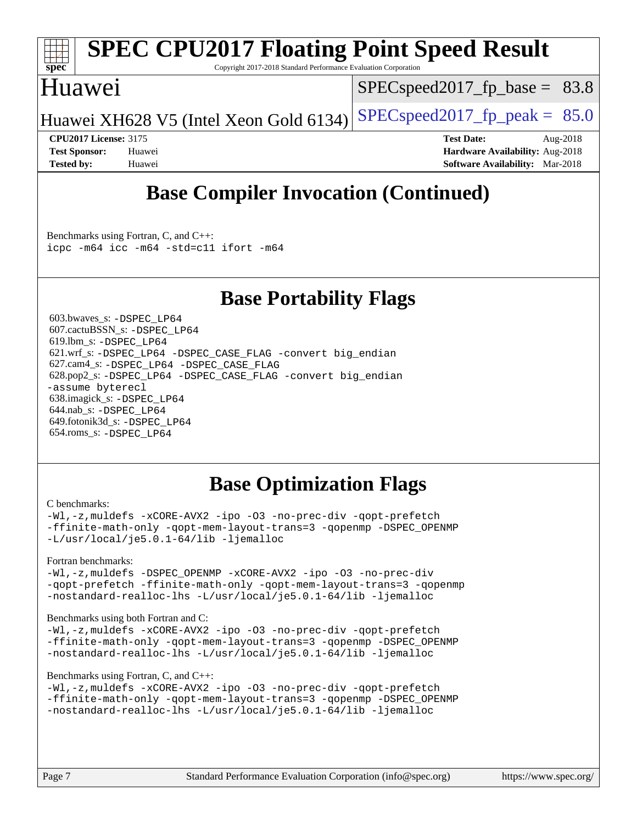

# **[SPEC CPU2017 Floating Point Speed Result](http://www.spec.org/auto/cpu2017/Docs/result-fields.html#SPECCPU2017FloatingPointSpeedResult)**

Copyright 2017-2018 Standard Performance Evaluation Corporation

## Huawei

 $SPECspeed2017<sub>fp</sub> base = 83.8$ 

Huawei XH628 V5 (Intel Xeon Gold 6134) SPECspeed 2017 fp peak =  $85.0$ 

**[CPU2017 License:](http://www.spec.org/auto/cpu2017/Docs/result-fields.html#CPU2017License)** 3175 **[Test Date:](http://www.spec.org/auto/cpu2017/Docs/result-fields.html#TestDate)** Aug-2018 **[Test Sponsor:](http://www.spec.org/auto/cpu2017/Docs/result-fields.html#TestSponsor)** Huawei **[Hardware Availability:](http://www.spec.org/auto/cpu2017/Docs/result-fields.html#HardwareAvailability)** Aug-2018 **[Tested by:](http://www.spec.org/auto/cpu2017/Docs/result-fields.html#Testedby)** Huawei **[Software Availability:](http://www.spec.org/auto/cpu2017/Docs/result-fields.html#SoftwareAvailability)** Mar-2018

# **[Base Compiler Invocation \(Continued\)](http://www.spec.org/auto/cpu2017/Docs/result-fields.html#BaseCompilerInvocation)**

[Benchmarks using Fortran, C, and C++:](http://www.spec.org/auto/cpu2017/Docs/result-fields.html#BenchmarksusingFortranCandCXX) [icpc -m64](http://www.spec.org/cpu2017/results/res2018q4/cpu2017-20181025-09307.flags.html#user_CC_CXX_FCbase_intel_icpc_64bit_4ecb2543ae3f1412ef961e0650ca070fec7b7afdcd6ed48761b84423119d1bf6bdf5cad15b44d48e7256388bc77273b966e5eb805aefd121eb22e9299b2ec9d9) [icc -m64 -std=c11](http://www.spec.org/cpu2017/results/res2018q4/cpu2017-20181025-09307.flags.html#user_CC_CXX_FCbase_intel_icc_64bit_c11_33ee0cdaae7deeeab2a9725423ba97205ce30f63b9926c2519791662299b76a0318f32ddfffdc46587804de3178b4f9328c46fa7c2b0cd779d7a61945c91cd35) [ifort -m64](http://www.spec.org/cpu2017/results/res2018q4/cpu2017-20181025-09307.flags.html#user_CC_CXX_FCbase_intel_ifort_64bit_24f2bb282fbaeffd6157abe4f878425411749daecae9a33200eee2bee2fe76f3b89351d69a8130dd5949958ce389cf37ff59a95e7a40d588e8d3a57e0c3fd751)

# **[Base Portability Flags](http://www.spec.org/auto/cpu2017/Docs/result-fields.html#BasePortabilityFlags)**

 603.bwaves\_s: [-DSPEC\\_LP64](http://www.spec.org/cpu2017/results/res2018q4/cpu2017-20181025-09307.flags.html#suite_basePORTABILITY603_bwaves_s_DSPEC_LP64) 607.cactuBSSN\_s: [-DSPEC\\_LP64](http://www.spec.org/cpu2017/results/res2018q4/cpu2017-20181025-09307.flags.html#suite_basePORTABILITY607_cactuBSSN_s_DSPEC_LP64) 619.lbm\_s: [-DSPEC\\_LP64](http://www.spec.org/cpu2017/results/res2018q4/cpu2017-20181025-09307.flags.html#suite_basePORTABILITY619_lbm_s_DSPEC_LP64) 621.wrf\_s: [-DSPEC\\_LP64](http://www.spec.org/cpu2017/results/res2018q4/cpu2017-20181025-09307.flags.html#suite_basePORTABILITY621_wrf_s_DSPEC_LP64) [-DSPEC\\_CASE\\_FLAG](http://www.spec.org/cpu2017/results/res2018q4/cpu2017-20181025-09307.flags.html#b621.wrf_s_baseCPORTABILITY_DSPEC_CASE_FLAG) [-convert big\\_endian](http://www.spec.org/cpu2017/results/res2018q4/cpu2017-20181025-09307.flags.html#user_baseFPORTABILITY621_wrf_s_convert_big_endian_c3194028bc08c63ac5d04de18c48ce6d347e4e562e8892b8bdbdc0214820426deb8554edfa529a3fb25a586e65a3d812c835984020483e7e73212c4d31a38223) 627.cam4\_s: [-DSPEC\\_LP64](http://www.spec.org/cpu2017/results/res2018q4/cpu2017-20181025-09307.flags.html#suite_basePORTABILITY627_cam4_s_DSPEC_LP64) [-DSPEC\\_CASE\\_FLAG](http://www.spec.org/cpu2017/results/res2018q4/cpu2017-20181025-09307.flags.html#b627.cam4_s_baseCPORTABILITY_DSPEC_CASE_FLAG) 628.pop2\_s: [-DSPEC\\_LP64](http://www.spec.org/cpu2017/results/res2018q4/cpu2017-20181025-09307.flags.html#suite_basePORTABILITY628_pop2_s_DSPEC_LP64) [-DSPEC\\_CASE\\_FLAG](http://www.spec.org/cpu2017/results/res2018q4/cpu2017-20181025-09307.flags.html#b628.pop2_s_baseCPORTABILITY_DSPEC_CASE_FLAG) [-convert big\\_endian](http://www.spec.org/cpu2017/results/res2018q4/cpu2017-20181025-09307.flags.html#user_baseFPORTABILITY628_pop2_s_convert_big_endian_c3194028bc08c63ac5d04de18c48ce6d347e4e562e8892b8bdbdc0214820426deb8554edfa529a3fb25a586e65a3d812c835984020483e7e73212c4d31a38223) [-assume byterecl](http://www.spec.org/cpu2017/results/res2018q4/cpu2017-20181025-09307.flags.html#user_baseFPORTABILITY628_pop2_s_assume_byterecl_7e47d18b9513cf18525430bbf0f2177aa9bf368bc7a059c09b2c06a34b53bd3447c950d3f8d6c70e3faf3a05c8557d66a5798b567902e8849adc142926523472) 638.imagick\_s: [-DSPEC\\_LP64](http://www.spec.org/cpu2017/results/res2018q4/cpu2017-20181025-09307.flags.html#suite_basePORTABILITY638_imagick_s_DSPEC_LP64) 644.nab\_s: [-DSPEC\\_LP64](http://www.spec.org/cpu2017/results/res2018q4/cpu2017-20181025-09307.flags.html#suite_basePORTABILITY644_nab_s_DSPEC_LP64) 649.fotonik3d\_s: [-DSPEC\\_LP64](http://www.spec.org/cpu2017/results/res2018q4/cpu2017-20181025-09307.flags.html#suite_basePORTABILITY649_fotonik3d_s_DSPEC_LP64) 654.roms\_s: [-DSPEC\\_LP64](http://www.spec.org/cpu2017/results/res2018q4/cpu2017-20181025-09307.flags.html#suite_basePORTABILITY654_roms_s_DSPEC_LP64)

# **[Base Optimization Flags](http://www.spec.org/auto/cpu2017/Docs/result-fields.html#BaseOptimizationFlags)**

#### [C benchmarks](http://www.spec.org/auto/cpu2017/Docs/result-fields.html#Cbenchmarks):

[-Wl,-z,muldefs](http://www.spec.org/cpu2017/results/res2018q4/cpu2017-20181025-09307.flags.html#user_CCbase_link_force_multiple1_b4cbdb97b34bdee9ceefcfe54f4c8ea74255f0b02a4b23e853cdb0e18eb4525ac79b5a88067c842dd0ee6996c24547a27a4b99331201badda8798ef8a743f577) [-xCORE-AVX2](http://www.spec.org/cpu2017/results/res2018q4/cpu2017-20181025-09307.flags.html#user_CCbase_f-xCORE-AVX2) [-ipo](http://www.spec.org/cpu2017/results/res2018q4/cpu2017-20181025-09307.flags.html#user_CCbase_f-ipo) [-O3](http://www.spec.org/cpu2017/results/res2018q4/cpu2017-20181025-09307.flags.html#user_CCbase_f-O3) [-no-prec-div](http://www.spec.org/cpu2017/results/res2018q4/cpu2017-20181025-09307.flags.html#user_CCbase_f-no-prec-div) [-qopt-prefetch](http://www.spec.org/cpu2017/results/res2018q4/cpu2017-20181025-09307.flags.html#user_CCbase_f-qopt-prefetch) [-ffinite-math-only](http://www.spec.org/cpu2017/results/res2018q4/cpu2017-20181025-09307.flags.html#user_CCbase_f_finite_math_only_cb91587bd2077682c4b38af759c288ed7c732db004271a9512da14a4f8007909a5f1427ecbf1a0fb78ff2a814402c6114ac565ca162485bbcae155b5e4258871) [-qopt-mem-layout-trans=3](http://www.spec.org/cpu2017/results/res2018q4/cpu2017-20181025-09307.flags.html#user_CCbase_f-qopt-mem-layout-trans_de80db37974c74b1f0e20d883f0b675c88c3b01e9d123adea9b28688d64333345fb62bc4a798493513fdb68f60282f9a726aa07f478b2f7113531aecce732043) [-qopenmp](http://www.spec.org/cpu2017/results/res2018q4/cpu2017-20181025-09307.flags.html#user_CCbase_qopenmp_16be0c44f24f464004c6784a7acb94aca937f053568ce72f94b139a11c7c168634a55f6653758ddd83bcf7b8463e8028bb0b48b77bcddc6b78d5d95bb1df2967) [-DSPEC\\_OPENMP](http://www.spec.org/cpu2017/results/res2018q4/cpu2017-20181025-09307.flags.html#suite_CCbase_DSPEC_OPENMP) [-L/usr/local/je5.0.1-64/lib](http://www.spec.org/cpu2017/results/res2018q4/cpu2017-20181025-09307.flags.html#user_CCbase_jemalloc_link_path64_4b10a636b7bce113509b17f3bd0d6226c5fb2346b9178c2d0232c14f04ab830f976640479e5c33dc2bcbbdad86ecfb6634cbbd4418746f06f368b512fced5394) [-ljemalloc](http://www.spec.org/cpu2017/results/res2018q4/cpu2017-20181025-09307.flags.html#user_CCbase_jemalloc_link_lib_d1249b907c500fa1c0672f44f562e3d0f79738ae9e3c4a9c376d49f265a04b9c99b167ecedbf6711b3085be911c67ff61f150a17b3472be731631ba4d0471706)

#### [Fortran benchmarks](http://www.spec.org/auto/cpu2017/Docs/result-fields.html#Fortranbenchmarks):

[-Wl,-z,muldefs](http://www.spec.org/cpu2017/results/res2018q4/cpu2017-20181025-09307.flags.html#user_FCbase_link_force_multiple1_b4cbdb97b34bdee9ceefcfe54f4c8ea74255f0b02a4b23e853cdb0e18eb4525ac79b5a88067c842dd0ee6996c24547a27a4b99331201badda8798ef8a743f577) -DSPEC OPENMP [-xCORE-AVX2](http://www.spec.org/cpu2017/results/res2018q4/cpu2017-20181025-09307.flags.html#user_FCbase_f-xCORE-AVX2) [-ipo](http://www.spec.org/cpu2017/results/res2018q4/cpu2017-20181025-09307.flags.html#user_FCbase_f-ipo) [-O3](http://www.spec.org/cpu2017/results/res2018q4/cpu2017-20181025-09307.flags.html#user_FCbase_f-O3) [-no-prec-div](http://www.spec.org/cpu2017/results/res2018q4/cpu2017-20181025-09307.flags.html#user_FCbase_f-no-prec-div) [-qopt-prefetch](http://www.spec.org/cpu2017/results/res2018q4/cpu2017-20181025-09307.flags.html#user_FCbase_f-qopt-prefetch) [-ffinite-math-only](http://www.spec.org/cpu2017/results/res2018q4/cpu2017-20181025-09307.flags.html#user_FCbase_f_finite_math_only_cb91587bd2077682c4b38af759c288ed7c732db004271a9512da14a4f8007909a5f1427ecbf1a0fb78ff2a814402c6114ac565ca162485bbcae155b5e4258871) [-qopt-mem-layout-trans=3](http://www.spec.org/cpu2017/results/res2018q4/cpu2017-20181025-09307.flags.html#user_FCbase_f-qopt-mem-layout-trans_de80db37974c74b1f0e20d883f0b675c88c3b01e9d123adea9b28688d64333345fb62bc4a798493513fdb68f60282f9a726aa07f478b2f7113531aecce732043) [-qopenmp](http://www.spec.org/cpu2017/results/res2018q4/cpu2017-20181025-09307.flags.html#user_FCbase_qopenmp_16be0c44f24f464004c6784a7acb94aca937f053568ce72f94b139a11c7c168634a55f6653758ddd83bcf7b8463e8028bb0b48b77bcddc6b78d5d95bb1df2967) [-nostandard-realloc-lhs](http://www.spec.org/cpu2017/results/res2018q4/cpu2017-20181025-09307.flags.html#user_FCbase_f_2003_std_realloc_82b4557e90729c0f113870c07e44d33d6f5a304b4f63d4c15d2d0f1fab99f5daaed73bdb9275d9ae411527f28b936061aa8b9c8f2d63842963b95c9dd6426b8a) [-L/usr/local/je5.0.1-64/lib](http://www.spec.org/cpu2017/results/res2018q4/cpu2017-20181025-09307.flags.html#user_FCbase_jemalloc_link_path64_4b10a636b7bce113509b17f3bd0d6226c5fb2346b9178c2d0232c14f04ab830f976640479e5c33dc2bcbbdad86ecfb6634cbbd4418746f06f368b512fced5394) [-ljemalloc](http://www.spec.org/cpu2017/results/res2018q4/cpu2017-20181025-09307.flags.html#user_FCbase_jemalloc_link_lib_d1249b907c500fa1c0672f44f562e3d0f79738ae9e3c4a9c376d49f265a04b9c99b167ecedbf6711b3085be911c67ff61f150a17b3472be731631ba4d0471706)

#### [Benchmarks using both Fortran and C](http://www.spec.org/auto/cpu2017/Docs/result-fields.html#BenchmarksusingbothFortranandC):

[-Wl,-z,muldefs](http://www.spec.org/cpu2017/results/res2018q4/cpu2017-20181025-09307.flags.html#user_CC_FCbase_link_force_multiple1_b4cbdb97b34bdee9ceefcfe54f4c8ea74255f0b02a4b23e853cdb0e18eb4525ac79b5a88067c842dd0ee6996c24547a27a4b99331201badda8798ef8a743f577) [-xCORE-AVX2](http://www.spec.org/cpu2017/results/res2018q4/cpu2017-20181025-09307.flags.html#user_CC_FCbase_f-xCORE-AVX2) [-ipo](http://www.spec.org/cpu2017/results/res2018q4/cpu2017-20181025-09307.flags.html#user_CC_FCbase_f-ipo) [-O3](http://www.spec.org/cpu2017/results/res2018q4/cpu2017-20181025-09307.flags.html#user_CC_FCbase_f-O3) [-no-prec-div](http://www.spec.org/cpu2017/results/res2018q4/cpu2017-20181025-09307.flags.html#user_CC_FCbase_f-no-prec-div) [-qopt-prefetch](http://www.spec.org/cpu2017/results/res2018q4/cpu2017-20181025-09307.flags.html#user_CC_FCbase_f-qopt-prefetch) [-ffinite-math-only](http://www.spec.org/cpu2017/results/res2018q4/cpu2017-20181025-09307.flags.html#user_CC_FCbase_f_finite_math_only_cb91587bd2077682c4b38af759c288ed7c732db004271a9512da14a4f8007909a5f1427ecbf1a0fb78ff2a814402c6114ac565ca162485bbcae155b5e4258871) [-qopt-mem-layout-trans=3](http://www.spec.org/cpu2017/results/res2018q4/cpu2017-20181025-09307.flags.html#user_CC_FCbase_f-qopt-mem-layout-trans_de80db37974c74b1f0e20d883f0b675c88c3b01e9d123adea9b28688d64333345fb62bc4a798493513fdb68f60282f9a726aa07f478b2f7113531aecce732043) [-qopenmp](http://www.spec.org/cpu2017/results/res2018q4/cpu2017-20181025-09307.flags.html#user_CC_FCbase_qopenmp_16be0c44f24f464004c6784a7acb94aca937f053568ce72f94b139a11c7c168634a55f6653758ddd83bcf7b8463e8028bb0b48b77bcddc6b78d5d95bb1df2967) [-DSPEC\\_OPENMP](http://www.spec.org/cpu2017/results/res2018q4/cpu2017-20181025-09307.flags.html#suite_CC_FCbase_DSPEC_OPENMP) [-nostandard-realloc-lhs](http://www.spec.org/cpu2017/results/res2018q4/cpu2017-20181025-09307.flags.html#user_CC_FCbase_f_2003_std_realloc_82b4557e90729c0f113870c07e44d33d6f5a304b4f63d4c15d2d0f1fab99f5daaed73bdb9275d9ae411527f28b936061aa8b9c8f2d63842963b95c9dd6426b8a) [-L/usr/local/je5.0.1-64/lib](http://www.spec.org/cpu2017/results/res2018q4/cpu2017-20181025-09307.flags.html#user_CC_FCbase_jemalloc_link_path64_4b10a636b7bce113509b17f3bd0d6226c5fb2346b9178c2d0232c14f04ab830f976640479e5c33dc2bcbbdad86ecfb6634cbbd4418746f06f368b512fced5394) [-ljemalloc](http://www.spec.org/cpu2017/results/res2018q4/cpu2017-20181025-09307.flags.html#user_CC_FCbase_jemalloc_link_lib_d1249b907c500fa1c0672f44f562e3d0f79738ae9e3c4a9c376d49f265a04b9c99b167ecedbf6711b3085be911c67ff61f150a17b3472be731631ba4d0471706)

#### [Benchmarks using Fortran, C, and C++:](http://www.spec.org/auto/cpu2017/Docs/result-fields.html#BenchmarksusingFortranCandCXX)

```
-Wl,-z,muldefs -xCORE-AVX2 -ipo -O3 -no-prec-div -qopt-prefetch
-ffinite-math-only -qopt-mem-layout-trans=3 -qopenmp -DSPEC_OPENMP
-nostandard-realloc-lhs -L/usr/local/je5.0.1-64/lib -ljemalloc
```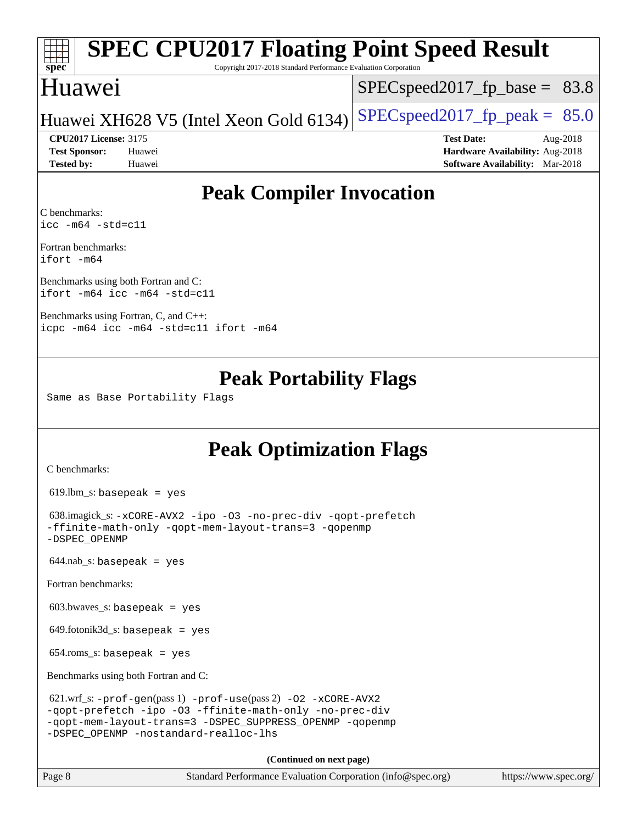# **[spec](http://www.spec.org/)**

# **[SPEC CPU2017 Floating Point Speed Result](http://www.spec.org/auto/cpu2017/Docs/result-fields.html#SPECCPU2017FloatingPointSpeedResult)**

Copyright 2017-2018 Standard Performance Evaluation Corporation

# Huawei

 $SPECspeed2017_fp\_base = 83.8$ 

Huawei XH628 V5 (Intel Xeon Gold 6134) SPECspeed 2017 fp peak =  $85.0$ 

**[CPU2017 License:](http://www.spec.org/auto/cpu2017/Docs/result-fields.html#CPU2017License)** 3175 **[Test Date:](http://www.spec.org/auto/cpu2017/Docs/result-fields.html#TestDate)** Aug-2018 **[Test Sponsor:](http://www.spec.org/auto/cpu2017/Docs/result-fields.html#TestSponsor)** Huawei **[Hardware Availability:](http://www.spec.org/auto/cpu2017/Docs/result-fields.html#HardwareAvailability)** Aug-2018 **[Tested by:](http://www.spec.org/auto/cpu2017/Docs/result-fields.html#Testedby)** Huawei **[Software Availability:](http://www.spec.org/auto/cpu2017/Docs/result-fields.html#SoftwareAvailability)** Mar-2018

# **[Peak Compiler Invocation](http://www.spec.org/auto/cpu2017/Docs/result-fields.html#PeakCompilerInvocation)**

[C benchmarks](http://www.spec.org/auto/cpu2017/Docs/result-fields.html#Cbenchmarks): [icc -m64 -std=c11](http://www.spec.org/cpu2017/results/res2018q4/cpu2017-20181025-09307.flags.html#user_CCpeak_intel_icc_64bit_c11_33ee0cdaae7deeeab2a9725423ba97205ce30f63b9926c2519791662299b76a0318f32ddfffdc46587804de3178b4f9328c46fa7c2b0cd779d7a61945c91cd35)

[Fortran benchmarks:](http://www.spec.org/auto/cpu2017/Docs/result-fields.html#Fortranbenchmarks) [ifort -m64](http://www.spec.org/cpu2017/results/res2018q4/cpu2017-20181025-09307.flags.html#user_FCpeak_intel_ifort_64bit_24f2bb282fbaeffd6157abe4f878425411749daecae9a33200eee2bee2fe76f3b89351d69a8130dd5949958ce389cf37ff59a95e7a40d588e8d3a57e0c3fd751)

[Benchmarks using both Fortran and C](http://www.spec.org/auto/cpu2017/Docs/result-fields.html#BenchmarksusingbothFortranandC): [ifort -m64](http://www.spec.org/cpu2017/results/res2018q4/cpu2017-20181025-09307.flags.html#user_CC_FCpeak_intel_ifort_64bit_24f2bb282fbaeffd6157abe4f878425411749daecae9a33200eee2bee2fe76f3b89351d69a8130dd5949958ce389cf37ff59a95e7a40d588e8d3a57e0c3fd751) [icc -m64 -std=c11](http://www.spec.org/cpu2017/results/res2018q4/cpu2017-20181025-09307.flags.html#user_CC_FCpeak_intel_icc_64bit_c11_33ee0cdaae7deeeab2a9725423ba97205ce30f63b9926c2519791662299b76a0318f32ddfffdc46587804de3178b4f9328c46fa7c2b0cd779d7a61945c91cd35)

[Benchmarks using Fortran, C, and C++](http://www.spec.org/auto/cpu2017/Docs/result-fields.html#BenchmarksusingFortranCandCXX): [icpc -m64](http://www.spec.org/cpu2017/results/res2018q4/cpu2017-20181025-09307.flags.html#user_CC_CXX_FCpeak_intel_icpc_64bit_4ecb2543ae3f1412ef961e0650ca070fec7b7afdcd6ed48761b84423119d1bf6bdf5cad15b44d48e7256388bc77273b966e5eb805aefd121eb22e9299b2ec9d9) [icc -m64 -std=c11](http://www.spec.org/cpu2017/results/res2018q4/cpu2017-20181025-09307.flags.html#user_CC_CXX_FCpeak_intel_icc_64bit_c11_33ee0cdaae7deeeab2a9725423ba97205ce30f63b9926c2519791662299b76a0318f32ddfffdc46587804de3178b4f9328c46fa7c2b0cd779d7a61945c91cd35) [ifort -m64](http://www.spec.org/cpu2017/results/res2018q4/cpu2017-20181025-09307.flags.html#user_CC_CXX_FCpeak_intel_ifort_64bit_24f2bb282fbaeffd6157abe4f878425411749daecae9a33200eee2bee2fe76f3b89351d69a8130dd5949958ce389cf37ff59a95e7a40d588e8d3a57e0c3fd751)

# **[Peak Portability Flags](http://www.spec.org/auto/cpu2017/Docs/result-fields.html#PeakPortabilityFlags)**

Same as Base Portability Flags

# **[Peak Optimization Flags](http://www.spec.org/auto/cpu2017/Docs/result-fields.html#PeakOptimizationFlags)**

[C benchmarks](http://www.spec.org/auto/cpu2017/Docs/result-fields.html#Cbenchmarks):

 $619.$ lbm\_s: basepeak = yes

 638.imagick\_s: [-xCORE-AVX2](http://www.spec.org/cpu2017/results/res2018q4/cpu2017-20181025-09307.flags.html#user_peakCOPTIMIZE638_imagick_s_f-xCORE-AVX2) [-ipo](http://www.spec.org/cpu2017/results/res2018q4/cpu2017-20181025-09307.flags.html#user_peakCOPTIMIZE638_imagick_s_f-ipo) [-O3](http://www.spec.org/cpu2017/results/res2018q4/cpu2017-20181025-09307.flags.html#user_peakCOPTIMIZE638_imagick_s_f-O3) [-no-prec-div](http://www.spec.org/cpu2017/results/res2018q4/cpu2017-20181025-09307.flags.html#user_peakCOPTIMIZE638_imagick_s_f-no-prec-div) [-qopt-prefetch](http://www.spec.org/cpu2017/results/res2018q4/cpu2017-20181025-09307.flags.html#user_peakCOPTIMIZE638_imagick_s_f-qopt-prefetch) [-ffinite-math-only](http://www.spec.org/cpu2017/results/res2018q4/cpu2017-20181025-09307.flags.html#user_peakCOPTIMIZE638_imagick_s_f_finite_math_only_cb91587bd2077682c4b38af759c288ed7c732db004271a9512da14a4f8007909a5f1427ecbf1a0fb78ff2a814402c6114ac565ca162485bbcae155b5e4258871) [-qopt-mem-layout-trans=3](http://www.spec.org/cpu2017/results/res2018q4/cpu2017-20181025-09307.flags.html#user_peakCOPTIMIZE638_imagick_s_f-qopt-mem-layout-trans_de80db37974c74b1f0e20d883f0b675c88c3b01e9d123adea9b28688d64333345fb62bc4a798493513fdb68f60282f9a726aa07f478b2f7113531aecce732043) [-qopenmp](http://www.spec.org/cpu2017/results/res2018q4/cpu2017-20181025-09307.flags.html#user_peakCOPTIMIZE638_imagick_s_qopenmp_16be0c44f24f464004c6784a7acb94aca937f053568ce72f94b139a11c7c168634a55f6653758ddd83bcf7b8463e8028bb0b48b77bcddc6b78d5d95bb1df2967) [-DSPEC\\_OPENMP](http://www.spec.org/cpu2017/results/res2018q4/cpu2017-20181025-09307.flags.html#suite_peakCOPTIMIZE638_imagick_s_DSPEC_OPENMP)

 $644.nab$ <sub>S</sub>: basepeak = yes

[Fortran benchmarks](http://www.spec.org/auto/cpu2017/Docs/result-fields.html#Fortranbenchmarks):

 $603.bwaves$  s: basepeak = yes

 $649.$ fotonik $3d$ <sub>-</sub>s: basepeak = yes

654.roms\_s: basepeak = yes

[Benchmarks using both Fortran and C](http://www.spec.org/auto/cpu2017/Docs/result-fields.html#BenchmarksusingbothFortranandC):

```
 621.wrf_s: -prof-gen(pass 1) -prof-use(pass 2) -O2 -xCORE-AVX2
-qopt-prefetch -ipo -O3 -ffinite-math-only -no-prec-div
-qopt-mem-layout-trans=3 -DSPEC_SUPPRESS_OPENMP -qopenmp
-DSPEC_OPENMP -nostandard-realloc-lhs
```
**(Continued on next page)**

Page 8 Standard Performance Evaluation Corporation [\(info@spec.org\)](mailto:info@spec.org) <https://www.spec.org/>